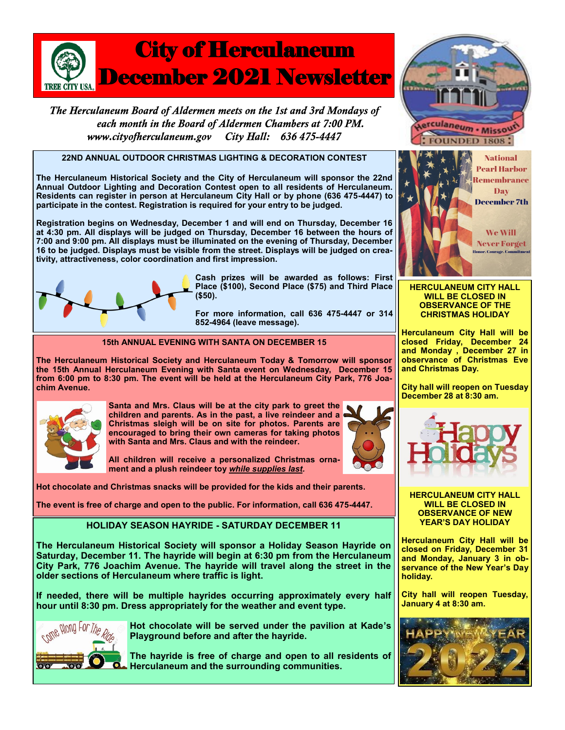

The Herculaneum Board of Aldermen meets on the 1st and 3rd Mondays of each month in the Board of Aldermen Chambers at 7:00 PM. www.cityofherculaneum.gov City Hall: 636 475-4447

# **22ND ANNUAL OUTDOOR CHRISTMAS LIGHTING & DECORATION CONTEST**

**The Herculaneum Historical Society and the City of Herculaneum will sponsor the 22nd Annual Outdoor Lighting and Decoration Contest open to all residents of Herculaneum. Residents can register in person at Herculaneum City Hall or by phone (636 475-4447) to participate in the contest. Registration is required for your entry to be judged.**

**Registration begins on Wednesday, December 1 and will end on Thursday, December 16 at 4:30 pm. All displays will be judged on Thursday, December 16 between the hours of 7:00 and 9:00 pm. All displays must be illuminated on the evening of Thursday, December 16 to be judged. Displays must be visible from the street. Displays will be judged on creativity, attractiveness, color coordination and first impression.**



**Cash prizes will be awarded as follows: First Place (\$100), Second Place (\$75) and Third Place (\$50).**

**For more information, call 636 475-4447 or 314 852-4964 (leave message).**

## **15th ANNUAL EVENING WITH SANTA ON DECEMBER 15**

**The Herculaneum Historical Society and Herculaneum Today & Tomorrow will sponsor the 15th Annual Herculaneum Evening with Santa event on Wednesday, December 15 from 6:00 pm to 8:30 pm. The event will be held at the Herculaneum City Park, 776 Joachim Avenue.**



**Santa and Mrs. Claus will be at the city park to greet the children and parents. As in the past, a live reindeer and a Christmas sleigh will be on site for photos. Parents are encouraged to bring their own cameras for taking photos with Santa and Mrs. Claus and with the reindeer.**

**All children will receive a personalized Christmas ornament and a plush reindeer toy** *while supplies last.* 

**Hot chocolate and Christmas snacks will be provided for the kids and their parents.** 

**The event is free of charge and open to the public. For information, call 636 475-4447.** 

# **HOLIDAY SEASON HAYRIDE - SATURDAY DECEMBER 11**

**The Herculaneum Historical Society will sponsor a Holiday Season Hayride on Saturday, December 11. The hayride will begin at 6:30 pm from the Herculaneum City Park, 776 Joachim Avenue. The hayride will travel along the street in the older sections of Herculaneum where traffic is light.**

**If needed, there will be multiple hayrides occurring approximately every half hour until 8:30 pm. Dress appropriately for the weather and event type.** 



**Hot chocolate will be served under the pavilion at Kade's Playground before and after the hayride.**

**The hayride is free of charge and open to all residents of Herculaneum and the surrounding communities.**





**HERCULANEUM CITY HALL WILL BE CLOSED IN OBSERVANCE OF THE CHRISTMAS HOLIDAY**

**Herculaneum City Hall will be closed Friday, December 24 and Monday , December 27 in observance of Christmas Eve and Christmas Day.**

**City hall will reopen on Tuesday December 28 at 8:30 am.**



**HERCULANEUM CITY HALL WILL BE CLOSED IN OBSERVANCE OF NEW YEAR'S DAY HOLIDAY**

**Herculaneum City Hall will be closed on Friday, December 31 and Monday, January 3 in observance of the New Year's Day holiday.**

**City hall will reopen Tuesday, January 4 at 8:30 am.**